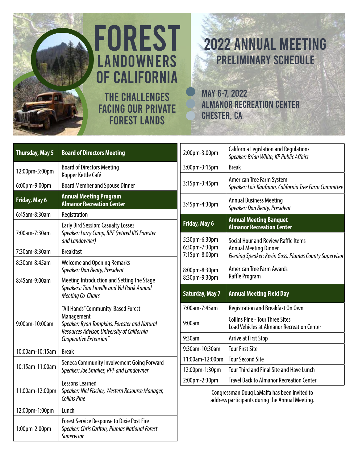

# THE CHALLENGES FACING OUR PRIVATE FOREST LANDS FOREST **LANDOWNERS** OF CALIFORNIA

# PRELIMINARY SCHEDULE 2022 ANNUAL MEETING

MAY 6-7, 2022 ALMANOR RECREATION CENTER CHESTER, CA

| <b>Thursday, May 5</b>                                                                       | <b>Board of Directors Meeting</b>                                                                                 | 2:00pm-3:00pm                                                                                   | <b>California Legislation and Regulations</b><br>Speaker: Brian White, KP Public Affairs    |  |  |
|----------------------------------------------------------------------------------------------|-------------------------------------------------------------------------------------------------------------------|-------------------------------------------------------------------------------------------------|---------------------------------------------------------------------------------------------|--|--|
| 12:00pm-5:00pm                                                                               | <b>Board of Directors Meeting</b>                                                                                 | 3:00pm-3:15pm                                                                                   | <b>Break</b>                                                                                |  |  |
| 6:00pm-9:00pm                                                                                | Kopper Kettle Café<br><b>Board Member and Spouse Dinner</b>                                                       | 3:15pm-3:45pm                                                                                   | American Tree Farm System<br>Speaker: Lois Kaufman, California Tree Farm Committee          |  |  |
| Friday, May 6                                                                                | <b>Annual Meeting Program</b><br><b>Almanor Recreation Center</b>                                                 | 3:45pm-4:30pm                                                                                   | <b>Annual Business Meeting</b><br>Speaker: Don Beaty, President                             |  |  |
| 6:45am-8:30am                                                                                | Registration                                                                                                      | Friday, May 6                                                                                   | <b>Annual Meeting Banquet</b>                                                               |  |  |
| 7:00am-7:30am                                                                                | <b>Early Bird Session: Casualty Losses</b><br>Speaker: Larry Camp, RPF (retired IRS Forester                      |                                                                                                 | <b>Almanor Recreation Center</b>                                                            |  |  |
|                                                                                              | and Landowner)                                                                                                    | 5:30pm-6:30pm                                                                                   | Social Hour and Review Raffle Items                                                         |  |  |
| 7:30am-8:30am                                                                                | <b>Breakfast</b>                                                                                                  | 6:30pm-7:30pm<br>7:15pm-8:00pm                                                                  | <b>Annual Meeting Dinner</b><br>Evening Speaker: Kevin Goss, Plumas County Supervisor       |  |  |
| 8:30am-8:45am                                                                                | <b>Welcome and Opening Remarks</b><br>Speaker: Don Beaty, President                                               | 8:00pm-8:30pm                                                                                   | <b>American Tree Farm Awards</b>                                                            |  |  |
| 8:45am-9:00am<br>Meeting Co-Chairs                                                           | Meeting Introduction and Setting the Stage                                                                        | 8:30pm-9:30pm                                                                                   | Raffle Program                                                                              |  |  |
|                                                                                              | Speakers: Tom Linville and Val Parik Annual                                                                       | <b>Saturday, May 7</b>                                                                          | <b>Annual Meeting Field Day</b>                                                             |  |  |
| "All Hands" Community-Based Forest<br>Management<br>9:00am-10:00am<br>Cooperative Extension" |                                                                                                                   | 7:00am-7:45am                                                                                   | Registration and Breakfast On Own                                                           |  |  |
|                                                                                              | Speaker: Ryan Tompkins, Forester and Natural<br>Resources Advisor, University of California                       | 9:00am                                                                                          | <b>Collins Pine - Tour Three Sites</b><br><b>Load Vehicles at Almanor Recreation Center</b> |  |  |
|                                                                                              |                                                                                                                   | 9:30am                                                                                          | Arrive at First Stop                                                                        |  |  |
| 10:00am-10:15am                                                                              | <b>Break</b>                                                                                                      | 9:30am-10:30am                                                                                  | <b>Tour First Site</b>                                                                      |  |  |
| 10:15am-11:00am                                                                              | Seneca Community Involvement Going Forward<br>Speaker: Joe Smailes, RPF and Landowner                             | 11:00am-12:00pm                                                                                 | <b>Tour Second Site</b>                                                                     |  |  |
|                                                                                              |                                                                                                                   | 12:00pm-1:30pm                                                                                  | Tour Third and Final Site and Have Lunch                                                    |  |  |
|                                                                                              | Lessons Learned                                                                                                   | 2:00pm-2:30pm                                                                                   | <b>Travel Back to Almanor Recreation Center</b>                                             |  |  |
| Speaker: Niel Fischer, Western Resource Manager,<br>11:00am-12:00pm<br><b>Collins Pine</b>   |                                                                                                                   | Congressman Doug LaMalfa has been invited to<br>address participants during the Annual Meeting. |                                                                                             |  |  |
| 12:00pm-1:00pm                                                                               | Lunch                                                                                                             |                                                                                                 |                                                                                             |  |  |
| 1:00pm-2:00pm                                                                                | <b>Forest Service Response to Dixie Post Fire</b><br>Speaker: Chris Carlton, Plumas National Forest<br>Supervisor |                                                                                                 |                                                                                             |  |  |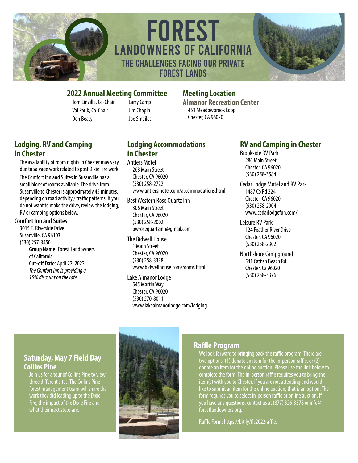

THE CHALLENGES FACING OUR PRIVATE FOREST LANDS FOREST LANDOWNERS OF CALIFORNIA



#### **2022 Annual Meeting Committee Meeting Location**

Tom Linville, Co-Chair Val Parik, Co-Chair Don Beaty

Larry Camp Jim Chapin Joe Smailes

**Almanor Recreation Center** 451 Meadowbrook Loop Chester, CA 96020

#### **Lodging, RV and Camping in Chester**

The availability of room nights in Chester may vary due to salvage work related to post Dixie Fire work. The Comfort Inn and Suites in Susanville has a small block of rooms available. The drive from Susanville to Chester is approximately 45 minutes, depending on road activity / traffic patterns. If you do not want to make the drive, review the lodging, RV or camping options below.

#### **Comfort Inn and Suites**

3015 E. Riverside Drive Susanville, CA 96103 (530) 257-3450 **Group Name:** Forest Landowners of California **Cut-off Date:** April 22, 2022 *The Comfort Inn is providing a 15% discount on the rate.*

### **Lodging Accommodations in Chester**

Antlers Motel 268 Main Street Chester, CA 96020 (530) 258-2722 www.antlersmotel.com/accommodations.html

Best Western Rose Quartz Inn 306 Main Street Chester, CA 96020 (530) 258-2002 bwrosequartzinn@gmail.com

The Bidwell House 1 Main Street Chester, CA 96020 (530) 258-3338 www.bidwellhouse.com/rooms.html

Lake Almanor Lodge 545 Martin Way Chester, CA 96020 (530) 570-8011 www.lakealmanorlodge.com/lodging

#### **RV and Camping in Chester**

Brookside RV Park 286 Main Street Chester, CA 96020 (530) 258-3584

Cedar Lodge Motel and RV Park 1487 Co Rd 324 Chester, CA 96020 (530) 258-2904 www.cedarlodgefun.com/

Leisure RV Park 124 Feather River Drive Chester, CA 96020 (530) 258-2302

Northshore Campground 541 Catfish Beach Rd Chester, Ca 96020 (530) 258-3376

#### **Saturday, May 7 Field Day Collins Pine**

Join us for a tour of Collins Pine to view three different sites. The Collins Pine forest management team will share the work they did leading up to the Dixie Fire, the impact of the Dixie Fire and what their next steps are.



#### **Raffle Program**

We look forward to bringing back the raffle program. There are two options: (1) donate an item for the in-person raffle, or (2) donate an item for the online auction. Please use the link below to complete the form. The in-person raffle requires you to bring the item(s) with you to Chester. If you are not attending and would like to submit an item for the online auction, that is an option. The form requires you to select in-person raffle or online auction. If you have any questions, contact us at (877) 326-3378 or info@ forestlandowners.org.

Raffle Form: https://bit.ly/flc2022raffle.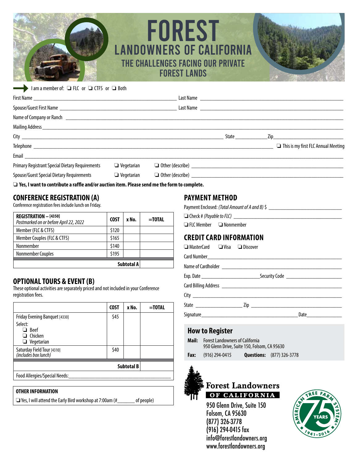## THE CHALLENGES FACING OUR PRIVATE FOREST LANDS FOREST LANDOWNERS OF CALIFORNIA



|                                                        |                   |                                | <b>State</b> State | Zip and the state of the state of the state of the state of the state of the state of the state of the state o |
|--------------------------------------------------------|-------------------|--------------------------------|--------------------|----------------------------------------------------------------------------------------------------------------|
|                                                        |                   |                                |                    | This is my first FLC Annual Meeting                                                                            |
|                                                        |                   |                                |                    |                                                                                                                |
| <b>Primary Registrant Special Dietary Requirements</b> | $\Box$ Vegetarian | $\Box$ Other (describe) $\Box$ |                    |                                                                                                                |
| Spouse/Guest Special Dietary Requirements              | $\Box$ Vegetarian |                                |                    |                                                                                                                |

□ Yes, I want to contribute a raffle and/or auction item. Please send me the form to complete.

#### **CONFERENCE REGISTRATION (A)**

Conference registration fees include lunch on Friday.

| REGISTRATION - [4350]<br>Postmarked on or before April 22, 2022 | <b>COST</b> | x No.      | $=$ TOTAL |
|-----------------------------------------------------------------|-------------|------------|-----------|
| Member (FLC & CTFS)                                             | \$120       |            |           |
| Member Couples (FLC & CTFS)                                     | \$165       |            |           |
| Nonmember                                                       | \$140       |            |           |
| Nonmember Couples                                               | \$195       |            |           |
|                                                                 |             | Subtotal A |           |

#### **OPTIONAL TOURS & EVENT (B)**

These optional activities are separately priced and not included in your Conference registration fees.

|                                                               | <b>COST</b> | x No.             | =TOTAL |
|---------------------------------------------------------------|-------------|-------------------|--------|
| Friday Evening Banquet [4330]                                 |             |                   |        |
| Select:<br>$\Box$ Beef<br>$\Box$ Chicken<br>$\Box$ Vegetarian |             |                   |        |
| Saturday Field Tour [4310]<br>(includes box lunch)            | \$40        |                   |        |
|                                                               |             | <b>Subtotal B</b> |        |
| Food Allergies/Special Needs:                                 |             |                   |        |

#### **OTHER INFORMATION**

□ Yes, I will attend the Early Bird workshop at 7:00am (#\_\_\_\_\_\_\_ of people)

#### **PAYMENT METHOD**

| Payment Enclosed: (Total Amount of A and B) \$ |  |
|------------------------------------------------|--|
| $\Box$ Check # (Payable to FLC)                |  |

 $\Box$  FLC Member  $\Box$  Nonmember

#### **CREDIT CARD INFORMATION**

| $\Box$ MasterCard $\Box$ Visa $\Box$ Discover |  |  |                      |
|-----------------------------------------------|--|--|----------------------|
|                                               |  |  |                      |
|                                               |  |  |                      |
|                                               |  |  |                      |
|                                               |  |  |                      |
|                                               |  |  |                      |
|                                               |  |  |                      |
|                                               |  |  | Date $\qquad \qquad$ |
|                                               |  |  |                      |

#### **How to Register**

- **Mail:** Forest Landowners of California 950 Glenn Drive, Suite 150, Folsom, CA 95630
- **Fax:** (916) 294-0415 **Questions:** (877) 326-3778



#### **Forest Landowners** OF CALIFORNIA

950 Glenn Drive, Suite 150 Folsom, CA 95630 (877) 326-3778 (916) 294-0415 fax info@forestlandowners.org www.forestlandowners.org